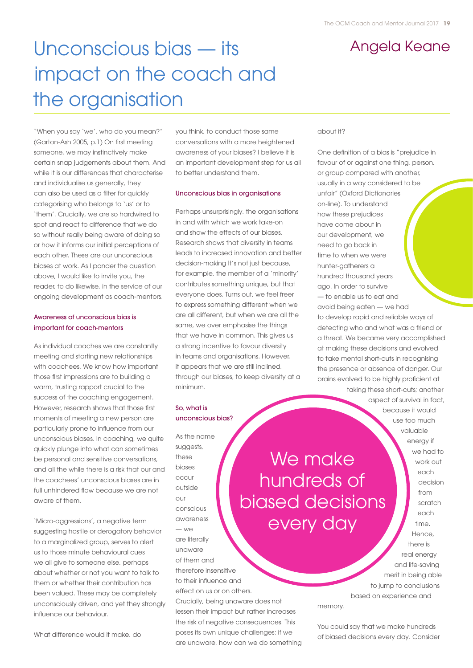# Unconscious bias — its Angela Keane impact on the coach and the organisation

"When you say 'we', who do you mean?" (Garton-Ash 2005, p.1) On first meeting someone, we may instinctively make certain snap judgements about them. And while it is our differences that characterise and individualise us generally, they can also be used as a filter for quickly categorising who belongs to 'us' or to 'them'. Crucially, we are so hardwired to spot and react to difference that we do so without really being aware of doing so or how it informs our initial perceptions of each other. These are our unconscious biases at work. As I ponder the question above, I would like to invite you, the reader, to do likewise, in the service of our ongoing development as coach-mentors.

### Awareness of unconscious bias is important for coach-mentors

As individual coaches we are constantly meeting and starting new relationships with coachees. We know how important those first impressions are to building a warm, trusting rapport crucial to the success of the coaching engagement. However, research shows that those first moments of meeting a new person are particularly prone to influence from our unconscious biases. In coaching, we quite quickly plunge into what can sometimes be personal and sensitive conversations, and all the while there is a risk that our and the coachees' unconscious biases are in full unhindered flow because we are not aware of them.

'Micro-aggressions', a negative term suggesting hostile or derogatory behavior to a marginalized group, serves to alert us to those minute behavioural cues we all give to someone else, perhaps about whether or not you want to talk to them or whether their contribution has been valued. These may be completely unconsciously driven, and yet they strongly influence our behaviour.

What difference would it make, do

you think, to conduct those same conversations with a more heightened awareness of your biases? I believe it is an important development step for us all to better understand them.

#### Unconscious bias in organisations

Perhaps unsurprisingly, the organisations in and with which we work take-on and show the effects of our biases. Research shows that diversity in teams leads to increased innovation and better decision-making It's not just because, for example, the member of a 'minority' contributes something unique, but that everyone does. Turns out, we feel freer to express something different when we are all different, but when we are all the same, we over emphasise the things that we have in common. This gives us a strong incentive to favour diversity in teams and organisations. However, it appears that we are still inclined, through our biases, to keep diversity at a minimum.

So, what is unconscious bias?

As the name suggests, these biases occur outside our conscious awareness — we are literally unaware of them and therefore insensitive to their influence and effect on us or on others. Crucially, being unaware does not lessen their impact but rather increases the risk of negative consequences. This poses its own unique challenges: if we are unaware, how can we do something

We make hundreds of biased decisions every day

#### about it?

One definition of a bias is "prejudice in favour of or against one thing, person, or group compared with another, usually in a way considered to be unfair" (Oxford Dictionaries on-line). To understand how these prejudices have come about in our development, we need to go back in time to when we were hunter-gatherers a hundred thousand years ago. In order to survive — to enable us to eat and avoid being eaten — we had to develop rapid and reliable ways of detecting who and what was a friend or a threat. We became very accomplished at making these decisions and evolved to take mental short-cuts in recognising the presence or absence of danger. Our brains evolved to be highly proficient at taking these short-cuts; another

> aspect of survival in fact, because it would use too much valuable energy if we had to work out each decision from scratch each time. Hence, there is real energy and life-saving merit in being able to jump to conclusions based on experience and

memory.

You could say that we make hundreds of biased decisions every day. Consider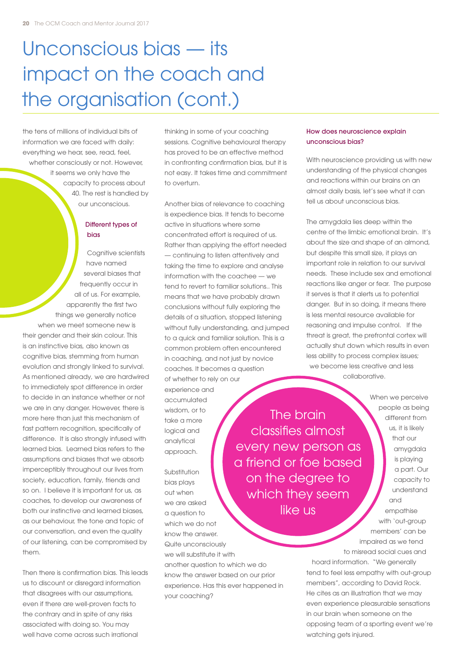# Unconscious bias — its impact on the coach and the organisation (cont.)

the tens of millions of individual bits of information we are faced with daily: everything we hear, see, read, feel, whether consciously or not. However, it seems we only have the capacity to process about 40. The rest is handled by our unconscious.

## Different types of bias

Cognitive scientists have named several biases that frequently occur in all of us. For example, apparently the first two things we generally notice when we meet someone new is their gender and their skin colour. This is an instinctive bias, also known as cognitive bias, stemming from human evolution and strongly linked to survival. As mentioned already, we are hardwired to immediately spot difference in order to decide in an instance whether or not we are in any danger. However, there is more here than just this mechanism of fast pattern recognition, specifically of difference. It is also strongly infused with learned bias. Learned bias refers to the assumptions and biases that we absorb imperceptibly throughout our lives from society, education, family, friends and so on. I believe it is important for us, as coaches, to develop our awareness of both our instinctive and learned biases, as our behaviour, the tone and topic of our conversation, and even the quality of our listening, can be compromised by them.

Then there is confirmation bias. This leads us to discount or disregard information that disagrees with our assumptions, even if there are well-proven facts to the contrary and in spite of any risks associated with doing so. You may well have come across such irrational

thinking in some of your coaching sessions. Cognitive behavioural therapy has proved to be an effective method in confronting confirmation bias, but it is not easy. It takes time and commitment to overturn.

Another bias of relevance to coaching is expedience bias. It tends to become active in situations where some concentrated effort is required of us. Rather than applying the effort needed — continuing to listen attentively and taking the time to explore and analyse information with the coachee — we tend to revert to familiar solutions.. This means that we have probably drawn conclusions without fully exploring the details of a situation, stopped listening without fully understanding, and jumped to a quick and familiar solution. This is a common problem often encountered in coaching, and not just by novice coaches. It becomes a question of whether to rely on our experience and accumulated wisdom, or to take a more logical and

Substitution bias plays out when we are asked a question to which we do not know the answer. Quite unconsciously we will substitute it with

analytical approach.

another question to which we do know the answer based on our prior experience. Has this ever happened in your coaching?

#### How does neuroscience explain unconscious bias?

With neuroscience providing us with new understanding of the physical changes and reactions within our brains on an almost daily basis, let's see what it can tell us about unconscious bias.

The amygdala lies deep within the centre of the limbic emotional brain. It's about the size and shape of an almond, but despite this small size, it plays an important role in relation to our survival needs. These include sex and emotional reactions like anger or fear. The purpose it serves is that it alerts us to potential danger. But in so doing, it means there is less mental resource available for reasoning and impulse control. If the threat is great, the prefrontal cortex will actually shut down which results in even less ability to process complex issues; we become less creative and less collaborative.

The brain classifies almost every new person as a friend or foe based on the degree to which they seem like us

When we perceive people as being different from us, it is likely that our amygdala is playing a part. Our capacity to understand and empathise with 'out-group members' can be impaired as we tend

to misread social cues and hoard information. "We generally tend to feel less empathy with out-group members", according to David Rock. He cites as an illustration that we may even experience pleasurable sensations in our brain when someone on the opposing team of a sporting event we're watching gets injured.